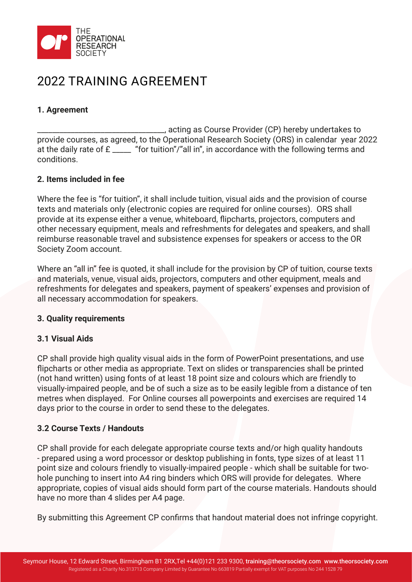

# 2022 TRAINING AGREEMENT

## **1. Agreement**

\_\_\_\_\_\_\_\_\_\_\_\_\_\_\_\_\_\_\_\_\_\_\_\_\_\_\_\_\_\_\_\_\_\_, acting as Course Provider (CP) hereby undertakes to provide courses, as agreed, to the Operational Research Society (ORS) in calendar year 2022 at the daily rate of £ \_\_\_\_\_ "for tuition"/"all in", in accordance with the following terms and conditions.

## **2. Items included in fee**

Where the fee is "for tuition", it shall include tuition, visual aids and the provision of course texts and materials only (electronic copies are required for online courses). ORS shall provide at its expense either a venue, whiteboard, flipcharts, projectors, computers and other necessary equipment, meals and refreshments for delegates and speakers, and shall reimburse reasonable travel and subsistence expenses for speakers or access to the OR Society Zoom account.

Where an "all in" fee is quoted, it shall include for the provision by CP of tuition, course texts and materials, venue, visual aids, projectors, computers and other equipment, meals and refreshments for delegates and speakers, payment of speakers' expenses and provision of all necessary accommodation for speakers.

#### **3. Quality requirements**

## **3.1 Visual Aids**

CP shall provide high quality visual aids in the form of PowerPoint presentations, and use flipcharts or other media as appropriate. Text on slides or transparencies shall be printed (not hand written) using fonts of at least 18 point size and colours which are friendly to visually-impaired people, and be of such a size as to be easily legible from a distance of ten metres when displayed. For Online courses all powerpoints and exercises are required 14 days prior to the course in order to send these to the delegates.

## **3.2 Course Texts / Handouts**

CP shall provide for each delegate appropriate course texts and/or high quality handouts - prepared using a word processor or desktop publishing in fonts, type sizes of at least 11 point size and colours friendly to visually-impaired people - which shall be suitable for twohole punching to insert into A4 ring binders which ORS will provide for delegates. Where appropriate, copies of visual aids should form part of the course materials. Handouts should have no more than 4 slides per A4 page.

By submitting this Agreement CP confirms that handout material does not infringe copyright.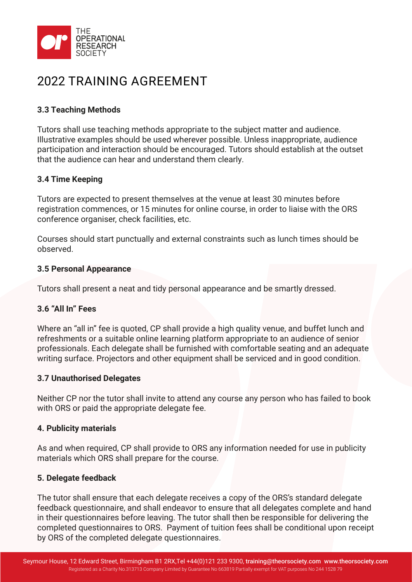

# 2022 TRAINING AGREEMENT

## **3.3 Teaching Methods**

Tutors shall use teaching methods appropriate to the subject matter and audience. Illustrative examples should be used wherever possible. Unless inappropriate, audience participation and interaction should be encouraged. Tutors should establish at the outset that the audience can hear and understand them clearly.

## **3.4 Time Keeping**

Tutors are expected to present themselves at the venue at least 30 minutes before registration commences, or 15 minutes for online course, in order to liaise with the ORS conference organiser, check facilities, etc.

Courses should start punctually and external constraints such as lunch times should be observed.

### **3.5 Personal Appearance**

Tutors shall present a neat and tidy personal appearance and be smartly dressed.

## **3.6 "All In" Fees**

Where an "all in" fee is quoted, CP shall provide a high quality venue, and buffet lunch and refreshments or a suitable online learning platform appropriate to an audience of senior professionals. Each delegate shall be furnished with comfortable seating and an adequate writing surface. Projectors and other equipment shall be serviced and in good condition.

## **3.7 Unauthorised Delegates**

Neither CP nor the tutor shall invite to attend any course any person who has failed to book with ORS or paid the appropriate delegate fee.

#### **4. Publicity materials**

As and when required, CP shall provide to ORS any information needed for use in publicity materials which ORS shall prepare for the course.

## **5. Delegate feedback**

The tutor shall ensure that each delegate receives a copy of the ORS's standard delegate feedback questionnaire, and shall endeavor to ensure that all delegates complete and hand in their questionnaires before leaving. The tutor shall then be responsible for delivering the completed questionnaires to ORS. Payment of tuition fees shall be conditional upon receipt by ORS of the completed delegate questionnaires.